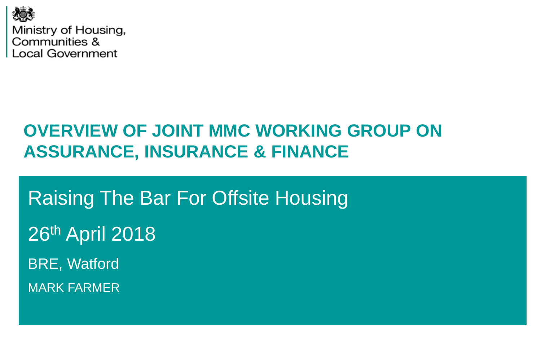

# **OVERVIEW OF JOINT MMC WORKING GROUP ON ASSURANCE, INSURANCE & FINANCE**

Raising The Bar For Offsite Housing 26th April 2018 BRE, Watford MARK FARMER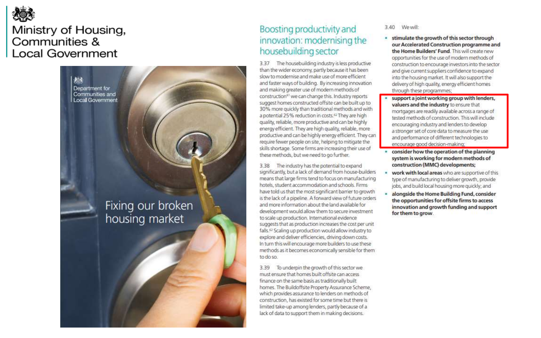

23

Department for

Communities and

Local Government

Fixing our broken housing market

#### Boosting productivity and innovation: modernising the housebuilding sector

3.37 The housebuilding industry is less productive than the wider economy, partly because it has been slow to modernise and make use of more efficient and faster ways of building. By increasing innovation and making greater use of modern methods of construction<sup>63</sup> we can change this. Industry reports suggest homes constructed offsite can be built up to 30% more quickly than traditional methods and with a potential 25% reduction in costs.<sup>62</sup> They are high quality, reliable, more productive and can be highly energy efficient. They are high quality, reliable, more productive and can be highly energy efficient. They can require fewer people on site, helping to mitigate the skills shortage. Some firms are increasing their use of these methods, but we need to go further.

3.38 The industry has the potential to expand significantly, but a lack of demand from house-builders means that large firms tend to focus on manufacturing hotels, student accommodation and schools. Firms have told us that the most significant barrier to growth is the lack of a pipeline. A forward view of future orders and more information about the land available for development would allow them to secure investment to scale up production. International evidence suggests that as production increases the cost per unit falls.<sup>62</sup> Scaling up production would allow industry to explore and deliver efficiencies, driving down costs. In turn this will encourage more builders to use these methods as it becomes economically sensible for them to do so.

To underpin the growth of this sector we 3.39 must ensure that homes built offsite can access finance on the same basis as traditionally built homes. The Buildoffsite Property Assurance Scheme, which provides assurance to lenders on methods of construction, has existed for some time but there is limited take-up among lenders, partly because of a lack of data to support them in making decisions.

#### We will: 3.40

- stimulate the growth of this sector through our Accelerated Construction programme and the Home Builders' Fund. This will create new opportunities for the use of modern methods of construction to encourage investors into the sector and give current suppliers confidence to expand into the housing market. It will also support the delivery of high quality, energy efficient homes through these programmes;
- support a joint working group with lenders, valuers and the industry to ensure that mortgages are readily available across a range of tested methods of construction. This will include encouraging industry and lenders to develop a stronger set of core data to measure the use and performance of different technologies to encourage good decision-making:
- consider how the operation of the planning system is working for modern methods of construction (MMC) developments;
- work with local areas who are supportive of this type of manufacturing to deliver growth, provide jobs, and build local housing more quickly; and
- alongside the Home Building Fund, consider the opportunities for offsite firms to access innovation and growth funding and support for them to grow.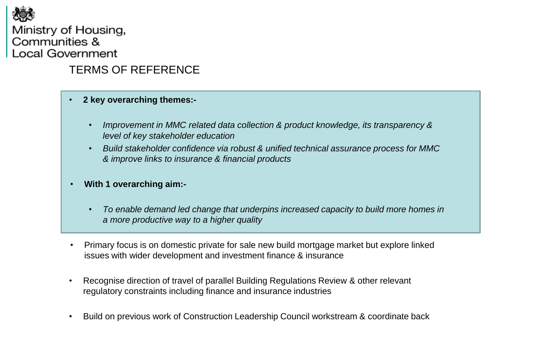

#### TERMS OF REFERENCE

- **2 key overarching themes:-**
	- *Improvement in MMC related data collection & product knowledge, its transparency & level of key stakeholder education*
	- *Build stakeholder confidence via robust & unified technical assurance process for MMC & improve links to insurance & financial products*
- **With 1 overarching aim:-**
	- *To enable demand led change that underpins increased capacity to build more homes in a more productive way to a higher quality*
- Primary focus is on domestic private for sale new build mortgage market but explore linked issues with wider development and investment finance & insurance
- Recognise direction of travel of parallel Building Regulations Review & other relevant regulatory constraints including finance and insurance industries
- Build on previous work of Construction Leadership Council workstream & coordinate back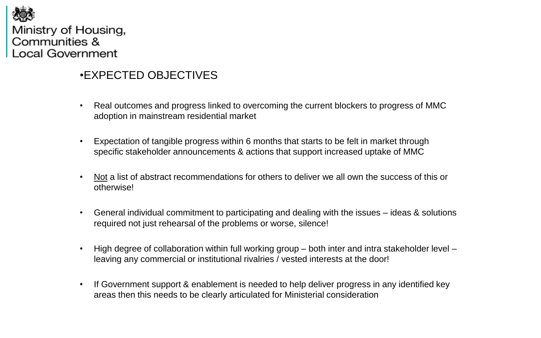

#### •EXPECTED OBJECTIVES

- Real outcomes and progress linked to overcoming the current blockers to progress of MMC adoption in mainstream residential market
- Expectation of tangible progress within 6 months that starts to be felt in market through specific stakeholder announcements & actions that support increased uptake of MMC
- Not a list of abstract recommendations for others to deliver we all own the success of this or otherwise!
- General individual commitment to participating and dealing with the issues ideas & solutions required not just rehearsal of the problems or worse, silence!
- High degree of collaboration within full working group both inter and intra stakeholder level leaving any commercial or institutional rivalries / vested interests at the door!
- If Government support & enablement is needed to help deliver progress in any identified key areas then this needs to be clearly articulated for Ministerial consideration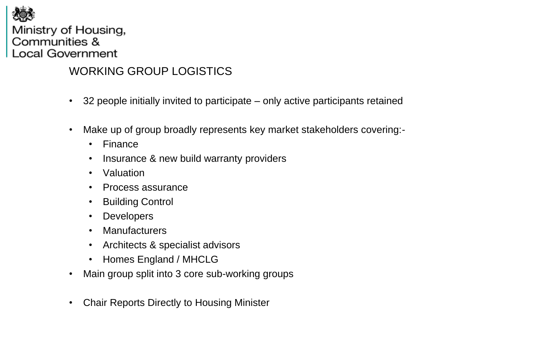

### WORKING GROUP LOGISTICS

- 32 people initially invited to participate only active participants retained
- Make up of group broadly represents key market stakeholders covering:-
	- Finance
	- Insurance & new build warranty providers
	- Valuation
	- Process assurance
	- Building Control
	- Developers
	- Manufacturers
	- Architects & specialist advisors
	- Homes England / MHCLG
- Main group split into 3 core sub-working groups
- Chair Reports Directly to Housing Minister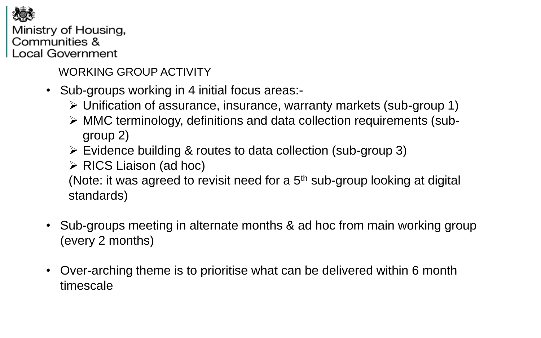

WORKING GROUP ACTIVITY

- Sub-groups working in 4 initial focus areas:-
	- Unification of assurance, insurance, warranty markets (sub-group 1)
	- MMC terminology, definitions and data collection requirements (subgroup 2)
	- Evidence building & routes to data collection (sub-group 3)
	- $\triangleright$  RICS Liaison (ad hoc)

(Note: it was agreed to revisit need for a  $5<sup>th</sup>$  sub-group looking at digital standards)

- Sub-groups meeting in alternate months & ad hoc from main working group (every 2 months)
- Over-arching theme is to prioritise what can be delivered within 6 month timescale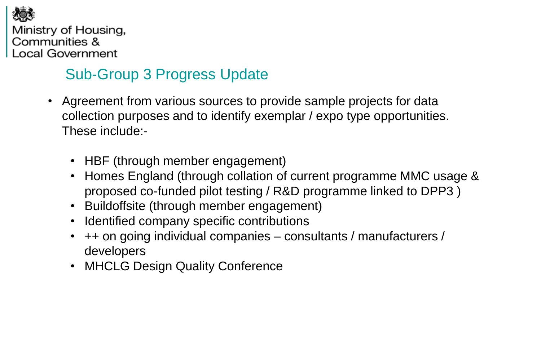

## Sub-Group 3 Progress Update

- Agreement from various sources to provide sample projects for data collection purposes and to identify exemplar / expo type opportunities. These include:-
	- HBF (through member engagement)
	- Homes England (through collation of current programme MMC usage & proposed co-funded pilot testing / R&D programme linked to DPP3 )
	- Buildoffsite (through member engagement)
	- Identified company specific contributions
	- ++ on going individual companies consultants / manufacturers / developers
	- MHCLG Design Quality Conference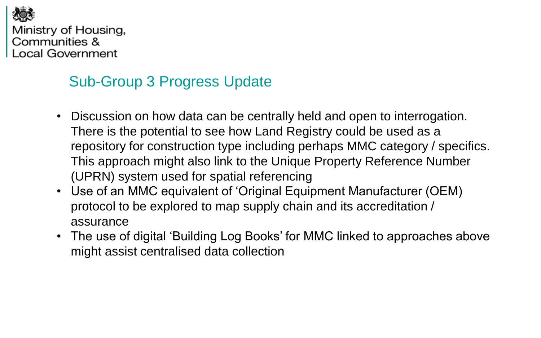

### Sub-Group 3 Progress Update

- Discussion on how data can be centrally held and open to interrogation. There is the potential to see how Land Registry could be used as a repository for construction type including perhaps MMC category / specifics. This approach might also link to the Unique Property Reference Number (UPRN) system used for spatial referencing
- Use of an MMC equivalent of 'Original Equipment Manufacturer (OEM) protocol to be explored to map supply chain and its accreditation / assurance
- The use of digital 'Building Log Books' for MMC linked to approaches above might assist centralised data collection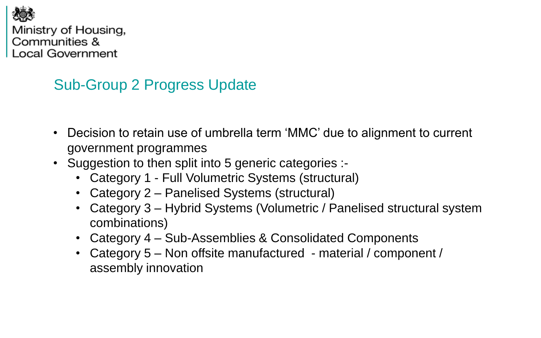

## Sub-Group 2 Progress Update

- Decision to retain use of umbrella term 'MMC' due to alignment to current government programmes
- Suggestion to then split into 5 generic categories :-
	- Category 1 Full Volumetric Systems (structural)
	- Category 2 Panelised Systems (structural)
	- Category 3 Hybrid Systems (Volumetric / Panelised structural system combinations)
	- Category 4 Sub-Assemblies & Consolidated Components
	- Category 5 Non offsite manufactured material / component / assembly innovation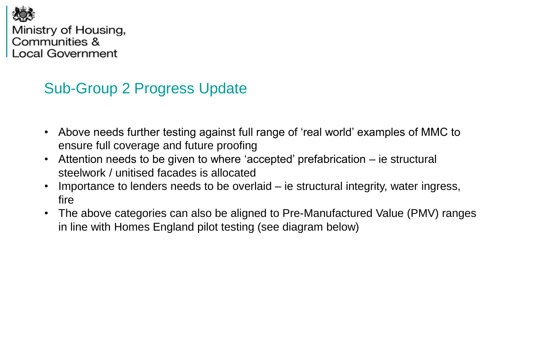

### Sub-Group 2 Progress Update

- Above needs further testing against full range of 'real world' examples of MMC to ensure full coverage and future proofing
- Attention needs to be given to where 'accepted' prefabrication ie structural steelwork / unitised facades is allocated
- Importance to lenders needs to be overlaid ie structural integrity, water ingress, fire
- The above categories can also be aligned to Pre-Manufactured Value (PMV) ranges in line with Homes England pilot testing (see diagram below)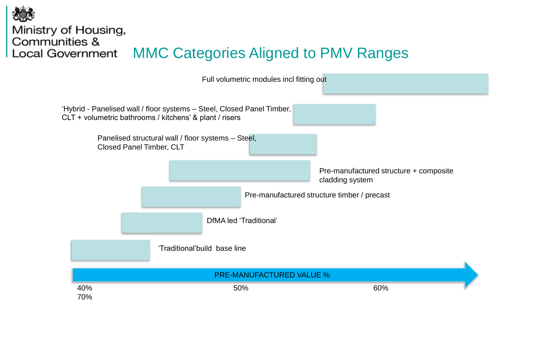

Full volumetric modules incl fitting out

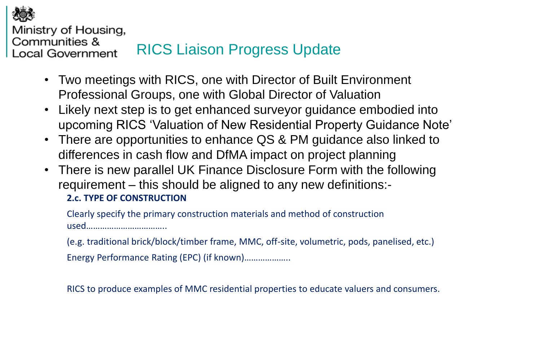

Ministry of Housing, Communities &

#### RICS Liaison Progress Update **Local Government**

- Two meetings with RICS, one with Director of Built Environment Professional Groups, one with Global Director of Valuation
- Likely next step is to get enhanced surveyor guidance embodied into upcoming RICS 'Valuation of New Residential Property Guidance Note'
- There are opportunities to enhance QS & PM guidance also linked to differences in cash flow and DfMA impact on project planning
- There is new parallel UK Finance Disclosure Form with the following requirement – this should be aligned to any new definitions:- **2.c. TYPE OF CONSTRUCTION**

Clearly specify the primary construction materials and method of construction used……………………………..

(e.g. traditional brick/block/timber frame, MMC, off-site, volumetric, pods, panelised, etc.) Energy Performance Rating (EPC) (if known)………………..

RICS to produce examples of MMC residential properties to educate valuers and consumers.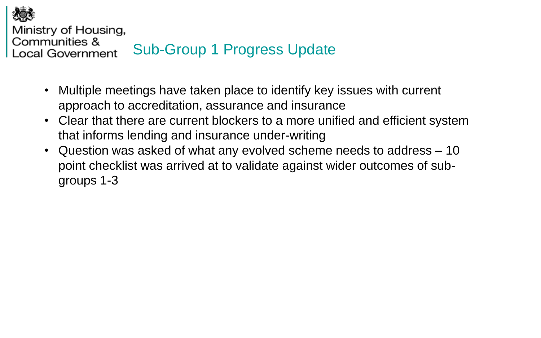

Ministry of Housing,

#### Communities & Sub-Group 1 Progress Update **Local Government**

- Multiple meetings have taken place to identify key issues with current approach to accreditation, assurance and insurance
- Clear that there are current blockers to a more unified and efficient system that informs lending and insurance under-writing
- Question was asked of what any evolved scheme needs to address 10 point checklist was arrived at to validate against wider outcomes of subgroups 1-3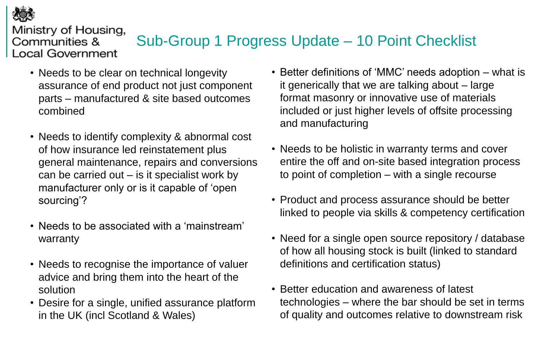

# Sub-Group 1 Progress Update – 10 Point Checklist

- Needs to be clear on technical longevity assurance of end product not just component parts – manufactured & site based outcomes combined
- Needs to identify complexity & abnormal cost of how insurance led reinstatement plus general maintenance, repairs and conversions can be carried out  $-$  is it specialist work by manufacturer only or is it capable of 'open sourcing'?
- Needs to be associated with a 'mainstream' warranty
- Needs to recognise the importance of valuer advice and bring them into the heart of the solution
- Desire for a single, unified assurance platform in the UK (incl Scotland & Wales)
- Better definitions of 'MMC' needs adoption what is it generically that we are talking about – large format masonry or innovative use of materials included or just higher levels of offsite processing and manufacturing
- Needs to be holistic in warranty terms and cover entire the off and on-site based integration process to point of completion – with a single recourse
- Product and process assurance should be better linked to people via skills & competency certification
- Need for a single open source repository / database of how all housing stock is built (linked to standard definitions and certification status)
- Better education and awareness of latest technologies – where the bar should be set in terms of quality and outcomes relative to downstream risk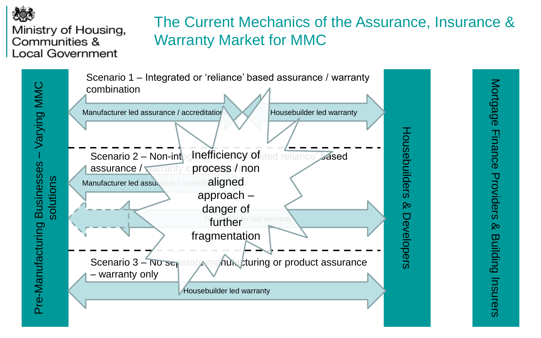

Pre-Manufacturing Businesses

Pre-Manufacturing Businesses

### Ministry of Housing, Communities & **Local Government**

# The Current Mechanics of the Assurance, Insurance & Warranty Market for MMC

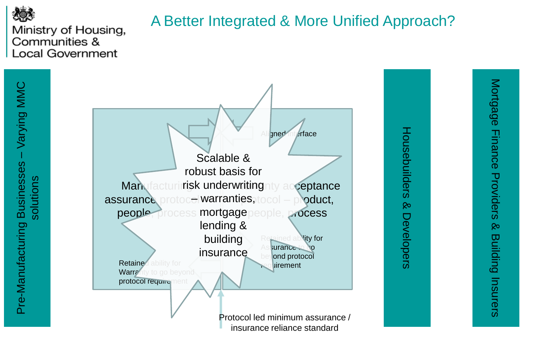

## A Better Integrated & More Unified Approach?





insurance reliance standard

Housebuilders & Developers

Developers

Housebuilders &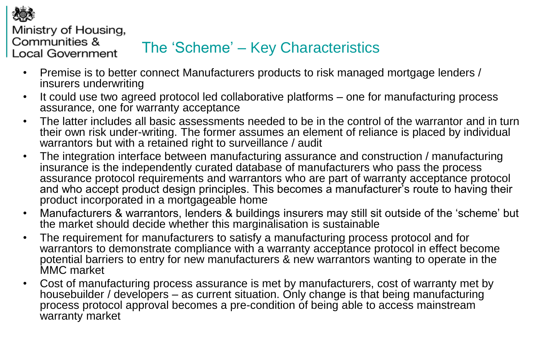

Ministry of Housing, Communities &

**Local Government** 

# The 'Scheme' – Key Characteristics

- Premise is to better connect Manufacturers products to risk managed mortgage lenders / insurers underwriting
- It could use two agreed protocol led collaborative platforms one for manufacturing process assurance, one for warranty acceptance
- The latter includes all basic assessments needed to be in the control of the warrantor and in turn their own risk under-writing. The former assumes an element of reliance is placed by individual warrantors but with a retained right to surveillance / audit
- The integration interface between manufacturing assurance and construction / manufacturing insurance is the independently curated database of manufacturers who pass the process assurance protocol requirements and warrantors who are part of warranty acceptance protocol and who accept product design principles. This becomes a manufacturer's route to having their product incorporated in a mortgageable home
- Manufacturers & warrantors, lenders & buildings insurers may still sit outside of the 'scheme' but the market should decide whether this marginalisation is sustainable
- The requirement for manufacturers to satisfy a manufacturing process protocol and for warrantors to demonstrate compliance with a warranty acceptance protocol in effect become potential barriers to entry for new manufacturers & new warrantors wanting to operate in the MMC market
- Cost of manufacturing process assurance is met by manufacturers, cost of warranty met by housebuilder / developers – as current situation. Only change is that being manufacturing process protocol approval becomes a pre-condition of being able to access mainstream warranty market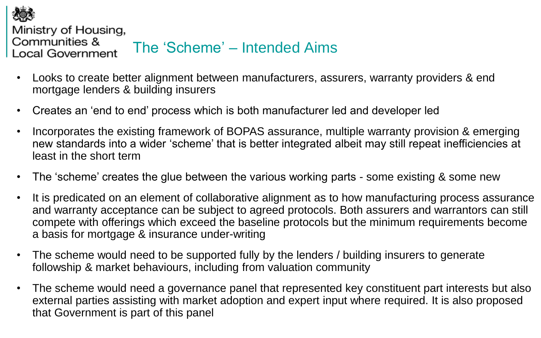

Ministry of Housing,

Communities &

#### The 'Scheme' – Intended Aims **Local Government**

- Looks to create better alignment between manufacturers, assurers, warranty providers & end mortgage lenders & building insurers
- Creates an 'end to end' process which is both manufacturer led and developer led
- Incorporates the existing framework of BOPAS assurance, multiple warranty provision & emerging new standards into a wider 'scheme' that is better integrated albeit may still repeat inefficiencies at least in the short term
- The 'scheme' creates the glue between the various working parts some existing & some new
- It is predicated on an element of collaborative alignment as to how manufacturing process assurance and warranty acceptance can be subject to agreed protocols. Both assurers and warrantors can still compete with offerings which exceed the baseline protocols but the minimum requirements become a basis for mortgage & insurance under-writing
- The scheme would need to be supported fully by the lenders / building insurers to generate followship & market behaviours, including from valuation community
- The scheme would need a governance panel that represented key constituent part interests but also external parties assisting with market adoption and expert input where required. It is also proposed that Government is part of this panel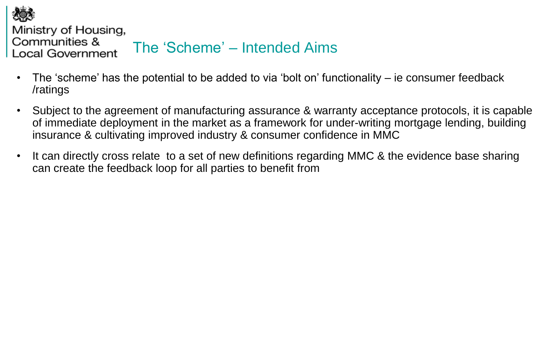

Ministry of Housing,

**Local Government** 

Communities &

## The 'Scheme' – Intended Aims

- The 'scheme' has the potential to be added to via 'bolt on' functionality ie consumer feedback /ratings
- Subject to the agreement of manufacturing assurance & warranty acceptance protocols, it is capable of immediate deployment in the market as a framework for under-writing mortgage lending, building insurance & cultivating improved industry & consumer confidence in MMC
- It can directly cross relate to a set of new definitions regarding MMC & the evidence base sharing can create the feedback loop for all parties to benefit from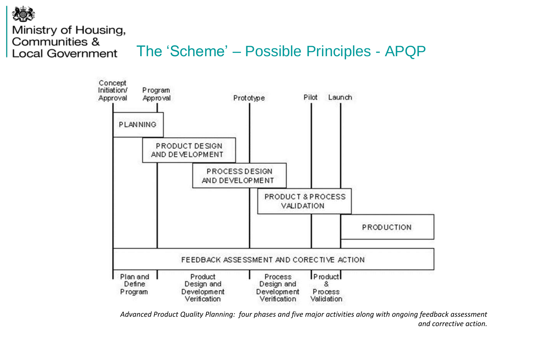

### The 'Scheme' – Possible Principles - APQP



*Advanced Product Quality Planning: four phases and five major activities along with ongoing feedback assessment and corrective action.*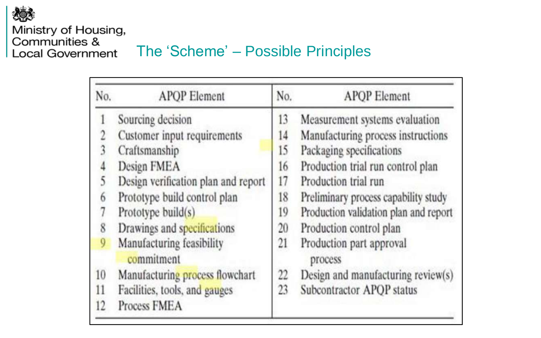

# The 'Scheme' – Possible Principles

| No. | <b>APOP</b> Element                     | No. | <b>APOP</b> Element                   |
|-----|-----------------------------------------|-----|---------------------------------------|
|     | Sourcing decision                       | 13  | Measurement systems evaluation        |
|     | Customer input requirements             | 14  | Manufacturing process instructions    |
|     | Craftsmanship                           | 15  | Packaging specifications              |
|     | Design FMEA                             | 16  | Production trial run control plan     |
|     | Design verification plan and report     | 17  | Production trial run                  |
| 6   | Prototype build control plan            | 18  | Preliminary process capability study  |
|     | Prototype build(s)                      | 19  | Production validation plan and report |
| 8   | Drawings and specifications             | 20  | Production control plan               |
| 9   | Manufacturing feasibility<br>commitment | 21  | Production part approval<br>process   |
| 10  | Manufacturing process flowchart         | 22  | Design and manufacturing review(s)    |
| 11  | Facilities, tools, and gauges           | 23  | Subcontractor APQP status             |
| 12  | Process FMEA                            |     |                                       |